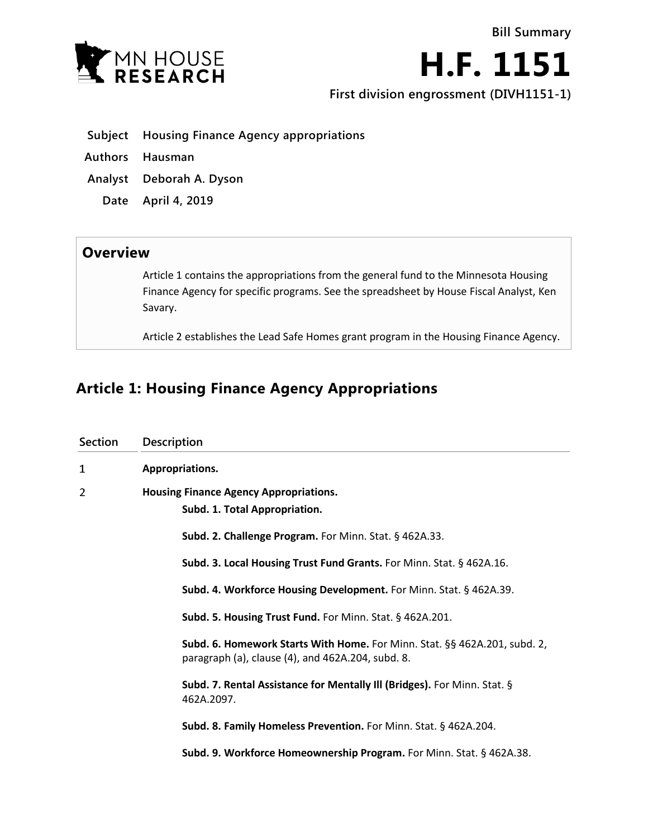

**H.F. 1151**

**First division engrossment (DIVH1151-1)**

- **Subject Housing Finance Agency appropriations**
- **Authors Hausman**
- **Analyst Deborah A. Dyson**
	- **Date April 4, 2019**

## **Overview**

Article 1 contains the appropriations from the general fund to the Minnesota Housing Finance Agency for specific programs. See the spreadsheet by House Fiscal Analyst, Ken Savary.

Article 2 establishes the Lead Safe Homes grant program in the Housing Finance Agency.

# **Article 1: Housing Finance Agency Appropriations**

| Section | Description                                                                                                                    |
|---------|--------------------------------------------------------------------------------------------------------------------------------|
| 1       | Appropriations.                                                                                                                |
| 2       | <b>Housing Finance Agency Appropriations.</b><br>Subd. 1. Total Appropriation.                                                 |
|         | Subd. 2. Challenge Program. For Minn. Stat. § 462A.33.                                                                         |
|         | Subd. 3. Local Housing Trust Fund Grants. For Minn. Stat. § 462A.16.                                                           |
|         | Subd. 4. Workforce Housing Development. For Minn. Stat. § 462A.39.                                                             |
|         | Subd. 5. Housing Trust Fund. For Minn. Stat. § 462A.201.                                                                       |
|         | Subd. 6. Homework Starts With Home. For Minn. Stat. §§ 462A.201, subd. 2,<br>paragraph (a), clause (4), and 462A.204, subd. 8. |
|         | Subd. 7. Rental Assistance for Mentally III (Bridges). For Minn. Stat. §<br>462A.2097.                                         |
|         | Subd. 8. Family Homeless Prevention. For Minn. Stat. § 462A.204.                                                               |
|         | Subd. 9. Workforce Homeownership Program. For Minn. Stat. § 462A.38.                                                           |